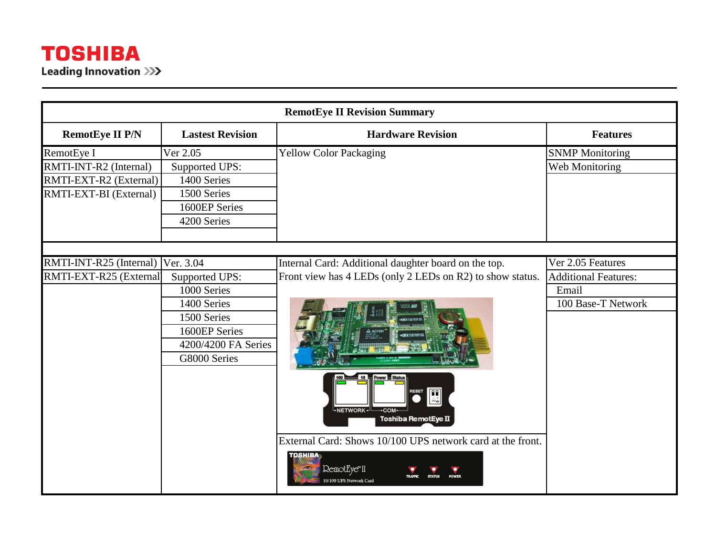| <b>RemotEye II Revision Summary</b> |                         |                                                                                                                                                                                                                     |                             |  |
|-------------------------------------|-------------------------|---------------------------------------------------------------------------------------------------------------------------------------------------------------------------------------------------------------------|-----------------------------|--|
| <b>RemotEye II P/N</b>              | <b>Lastest Revision</b> | <b>Hardware Revision</b>                                                                                                                                                                                            | <b>Features</b>             |  |
| RemotEye I                          | Ver 2.05                | <b>Yellow Color Packaging</b>                                                                                                                                                                                       | <b>SNMP</b> Monitoring      |  |
| RMTI-INT-R2 (Internal)              | Supported UPS:          |                                                                                                                                                                                                                     | Web Monitoring              |  |
| RMTI-EXT-R2 (External)              | 1400 Series             |                                                                                                                                                                                                                     |                             |  |
| RMTI-EXT-BI (External)              | 1500 Series             |                                                                                                                                                                                                                     |                             |  |
|                                     | 1600EP Series           |                                                                                                                                                                                                                     |                             |  |
|                                     | 4200 Series             |                                                                                                                                                                                                                     |                             |  |
|                                     |                         |                                                                                                                                                                                                                     |                             |  |
|                                     |                         |                                                                                                                                                                                                                     |                             |  |
| RMTI-INT-R25 (Internal) Ver. 3.04   |                         | Internal Card: Additional daughter board on the top.                                                                                                                                                                | Ver 2.05 Features           |  |
| RMTI-EXT-R25 (External              | Supported UPS:          | Front view has 4 LEDs (only 2 LEDs on R2) to show status.                                                                                                                                                           | <b>Additional Features:</b> |  |
|                                     | 1000 Series             |                                                                                                                                                                                                                     | Email                       |  |
|                                     | 1400 Series             |                                                                                                                                                                                                                     | 100 Base-T Network          |  |
|                                     | 1500 Series             |                                                                                                                                                                                                                     |                             |  |
|                                     | 1600EP Series           |                                                                                                                                                                                                                     |                             |  |
|                                     | 4200/4200 FA Series     |                                                                                                                                                                                                                     |                             |  |
|                                     | G8000 Series            |                                                                                                                                                                                                                     |                             |  |
|                                     |                         | Im<br>$\stackrel{\circ}{\mathsf{MO}\xspace\bullet} \stackrel{\mathcal{E}}{\mathsf{op}}$<br>NETWORK-<br>-COM-<br>Toshiba RemotEye II<br>External Card: Shows 10/100 UPS network card at the front.<br><b>TOSHIBA</b> |                             |  |
|                                     |                         | RemotEye <sup>*</sup> II<br>/100 UPS Network Card                                                                                                                                                                   |                             |  |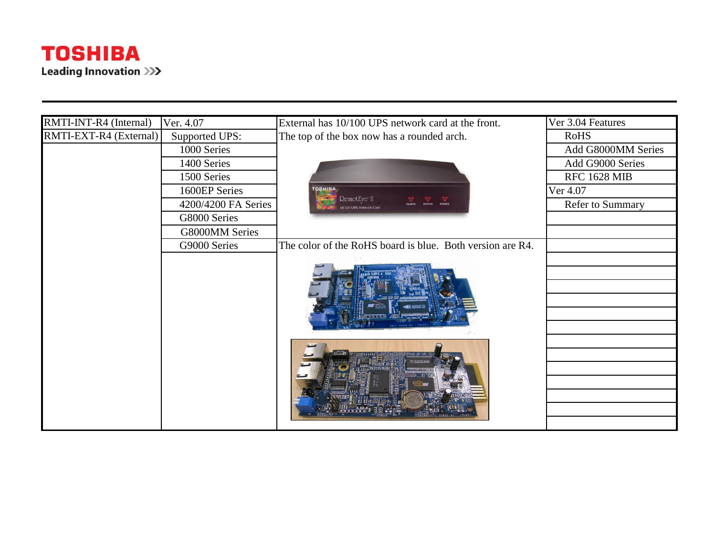

| RMTI-INT-R4 (Internal) | Ver. 4.07           | External has 10/100 UPS network card at the front.               | Ver 3.04 Features       |
|------------------------|---------------------|------------------------------------------------------------------|-------------------------|
| RMTI-EXT-R4 (External) | Supported UPS:      | The top of the box now has a rounded arch.                       | <b>RoHS</b>             |
|                        | 1000 Series         |                                                                  | Add G8000MM Series      |
|                        | 1400 Series         |                                                                  | Add G9000 Series        |
|                        | 1500 Series         |                                                                  | <b>RFC 1628 MIB</b>     |
|                        | 1600EP Series       | <b>OSHIBA</b>                                                    | Ver 4.07                |
|                        | 4200/4200 FA Series | RemotEye"II<br>POWER<br><b>STATUS</b><br>10/100 UPS Network Card | <b>Refer to Summary</b> |
|                        | G8000 Series        |                                                                  |                         |
|                        | G8000MM Series      |                                                                  |                         |
|                        | G9000 Series        | The color of the RoHS board is blue. Both version are R4.        |                         |
|                        |                     |                                                                  |                         |
|                        |                     |                                                                  |                         |
|                        |                     |                                                                  |                         |
|                        |                     |                                                                  |                         |
|                        |                     |                                                                  |                         |
|                        |                     |                                                                  |                         |
|                        |                     |                                                                  |                         |
|                        |                     |                                                                  |                         |
|                        |                     |                                                                  |                         |
|                        |                     |                                                                  |                         |
|                        |                     |                                                                  |                         |
|                        |                     |                                                                  |                         |
|                        |                     |                                                                  |                         |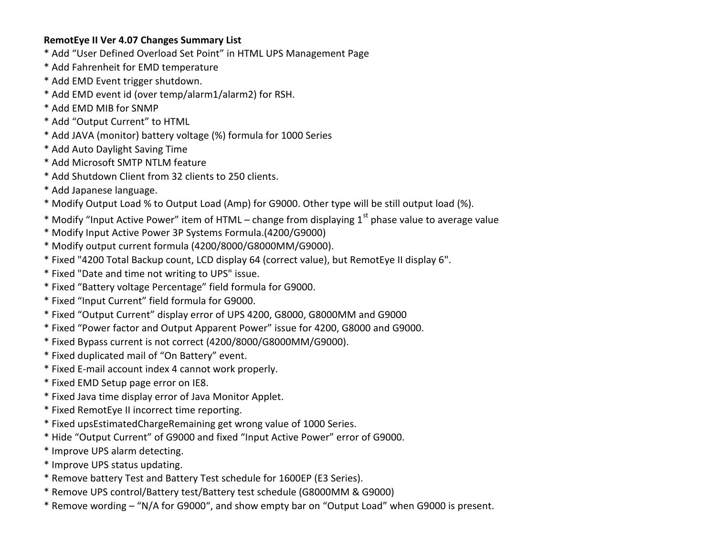## **RemotEye II Ver 4.07 Changes Summary List**

- \* Add "User Defined Overload Set Point" in HTML UPS Management Page
- \* Add Fahrenheit for EMD temperature
- \* Add EMD Event trigger shutdown.
- \* Add EMD event id (over temp/alarm1/alarm2) for RSH.
- \* Add EMD MIB for SNMP
- \* Add "Output Current" to HTML
- \* Add JAVA (monitor) battery voltage (%) formula for 1000 Series
- \* Add Auto Daylight Saving Time
- \* Add Microsoft SMTP NTLM feature
- \* Add Shutdown Client from 32 clients to 250 clients.
- \* Add Japanese language.
- \* Modify Output Load % to Output Load (Amp) for G9000. Other type will be still output load (%).
- \* Modify "Input Active Power" item of HTML change from displaying  $1<sup>st</sup>$  phase value to average value
- \* Modify Input Active Power 3P Systems Formula.(4200/G9000)
- \* Modify output current formula (4200/8000/G8000MM/G9000).
- \* Fixed "4200 Total Backup count, LCD display 64 (correct value), but RemotEye II display 6".
- \* Fixed "Date and time not writing to UPS" issue.
- \* Fixed "Battery voltage Percentage" field formula for G9000.
- \* Fixed "Input Current" field formula for G9000.
- \* Fixed "Output Current" display error of UPS 4200, G8000, G8000MM and G9000
- \* Fixed "Power factor and Output Apparent Power" issue for 4200, G8000 and G9000.
- \* Fixed Bypass current is not correct (4200/8000/G8000MM/G9000).
- \* Fixed duplicated mail of "On Battery" event.
- \* Fixed E-mail account index 4 cannot work properly.
- \* Fixed EMD Setup page error on IE8.
- \* Fixed Java time display error of Java Monitor Applet.
- \* Fixed RemotEye II incorrect time reporting.
- \* Fixed upsEstimatedChargeRemaining get wrong value of 1000 Series.
- \* Hide "Output Current" of G9000 and fixed "Input Active Power" error of G9000.
- \* Improve UPS alarm detecting.
- \* Improve UPS status updating.
- \* Remove battery Test and Battery Test schedule for 1600EP (E3 Series).
- \* Remove UPS control/Battery test/Battery test schedule (G8000MM & G9000)
- \* Remove wording "N/A for G9000", and show empty bar on "Output Load" when G9000 is present.